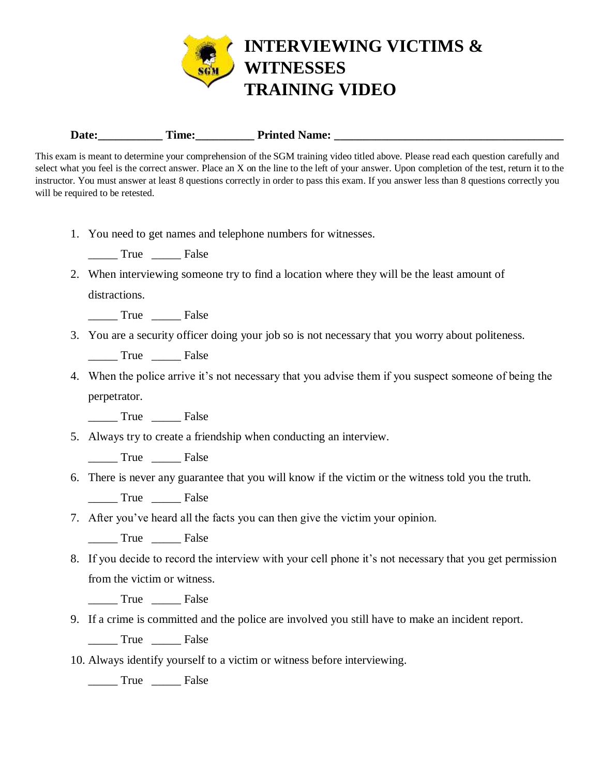

Date: Time: Printed Name:

This exam is meant to determine your comprehension of the SGM training video titled above. Please read each question carefully and select what you feel is the correct answer. Place an X on the line to the left of your answer. Upon completion of the test, return it to the instructor. You must answer at least 8 questions correctly in order to pass this exam. If you answer less than 8 questions correctly you will be required to be retested.

1. You need to get names and telephone numbers for witnesses.

True False

2. When interviewing someone try to find a location where they will be the least amount of distractions.

\_\_\_\_\_ True \_\_\_\_\_ False

3. You are a security officer doing your job so is not necessary that you worry about politeness.

\_\_\_\_\_ True \_\_\_\_\_ False

4. When the police arrive it's not necessary that you advise them if you suspect someone of being the perpetrator.

\_\_\_\_\_ True \_\_\_\_\_ False

5. Always try to create a friendship when conducting an interview.

\_\_\_\_\_ True \_\_\_\_\_ False

6. There is never any guarantee that you will know if the victim or the witness told you the truth.

\_\_\_\_\_ True \_\_\_\_\_ False

7. After you've heard all the facts you can then give the victim your opinion.

\_\_\_\_\_ True \_\_\_\_\_ False

8. If you decide to record the interview with your cell phone it's not necessary that you get permission from the victim or witness.

True False

9. If a crime is committed and the police are involved you still have to make an incident report.

\_\_\_\_\_ True \_\_\_\_\_ False

10. Always identify yourself to a victim or witness before interviewing.

\_\_\_\_\_ True \_\_\_\_\_ False